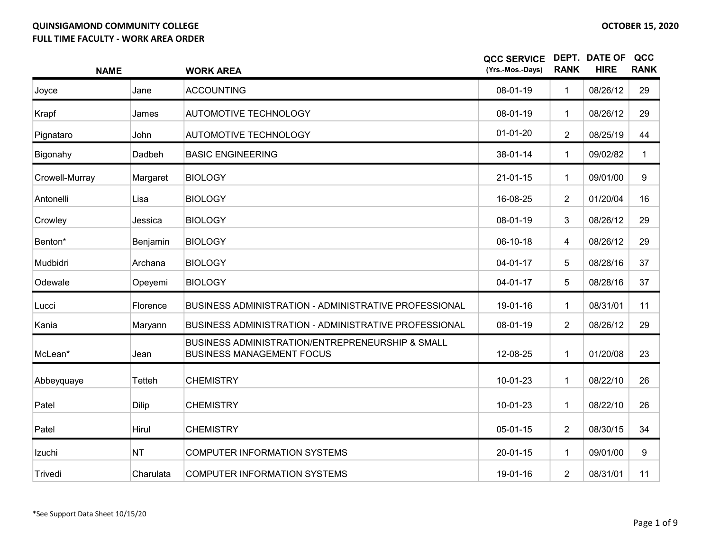| <b>NAME</b>    |              | <b>WORK AREA</b>                                                                     | <b>QCC SERVICE</b><br>(Yrs.-Mos.-Days) | <b>RANK</b>      | <b>DEPT. DATE OF</b><br><b>HIRE</b> | QCC<br><b>RANK</b> |
|----------------|--------------|--------------------------------------------------------------------------------------|----------------------------------------|------------------|-------------------------------------|--------------------|
| Joyce          | Jane         | <b>ACCOUNTING</b>                                                                    | 08-01-19                               | $\mathbf{1}$     | 08/26/12                            | 29                 |
| Krapf          | James        | <b>AUTOMOTIVE TECHNOLOGY</b>                                                         | 08-01-19                               | 1                | 08/26/12                            | 29                 |
| Pignataro      | John         | <b>AUTOMOTIVE TECHNOLOGY</b>                                                         | $01-01-20$                             | $\overline{2}$   | 08/25/19                            | 44                 |
| Bigonahy       | Dadbeh       | <b>BASIC ENGINEERING</b>                                                             | 38-01-14                               | 1                | 09/02/82                            | $\mathbf{1}$       |
| Crowell-Murray | Margaret     | <b>BIOLOGY</b>                                                                       | $21 - 01 - 15$                         | $\mathbf{1}$     | 09/01/00                            | 9                  |
| Antonelli      | Lisa         | <b>BIOLOGY</b>                                                                       | 16-08-25                               | $\overline{2}$   | 01/20/04                            | 16                 |
| Crowley        | Jessica      | <b>BIOLOGY</b>                                                                       | 08-01-19                               | 3                | 08/26/12                            | 29                 |
| Benton*        | Benjamin     | <b>BIOLOGY</b>                                                                       | 06-10-18                               | 4                | 08/26/12                            | 29                 |
| Mudbidri       | Archana      | <b>BIOLOGY</b>                                                                       | $04 - 01 - 17$                         | 5                | 08/28/16                            | 37                 |
| Odewale        | Opeyemi      | <b>BIOLOGY</b>                                                                       | 04-01-17                               | 5                | 08/28/16                            | 37                 |
| Lucci          | Florence     | BUSINESS ADMINISTRATION - ADMINISTRATIVE PROFESSIONAL                                | 19-01-16                               | $\mathbf{1}$     | 08/31/01                            | 11                 |
| Kania          | Maryann      | BUSINESS ADMINISTRATION - ADMINISTRATIVE PROFESSIONAL                                | 08-01-19                               | $\overline{2}$   | 08/26/12                            | 29                 |
| McLean*        | Jean         | BUSINESS ADMINISTRATION/ENTREPRENEURSHIP & SMALL<br><b>BUSINESS MANAGEMENT FOCUS</b> | 12-08-25                               | $\mathbf{1}$     | 01/20/08                            | 23                 |
| Abbeyquaye     | Tetteh       | <b>CHEMISTRY</b>                                                                     | 10-01-23                               | $\mathbf 1$      | 08/22/10                            | 26                 |
| Patel          | <b>Dilip</b> | <b>CHEMISTRY</b>                                                                     | 10-01-23                               | $\mathbf 1$      | 08/22/10                            | 26                 |
| Patel          | Hirul        | <b>CHEMISTRY</b>                                                                     | $05-01-15$                             | $\boldsymbol{2}$ | 08/30/15                            | 34                 |
| Izuchi         | <b>NT</b>    | <b>COMPUTER INFORMATION SYSTEMS</b>                                                  | 20-01-15                               | 1                | 09/01/00                            | 9                  |
| Trivedi        | Charulata    | <b>COMPUTER INFORMATION SYSTEMS</b>                                                  | 19-01-16                               | $\overline{2}$   | 08/31/01                            | 11                 |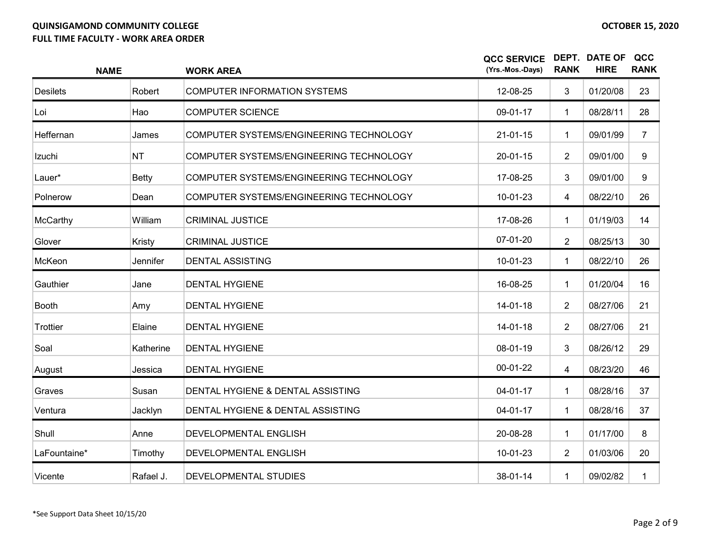| <b>NAME</b>     |              | <b>WORK AREA</b>                        | <b>QCC SERVICE</b><br>(Yrs.-Mos.-Days) | <b>RANK</b>    | <b>DEPT. DATE OF</b><br><b>HIRE</b> | QCC<br><b>RANK</b> |
|-----------------|--------------|-----------------------------------------|----------------------------------------|----------------|-------------------------------------|--------------------|
| <b>Desilets</b> | Robert       | <b>COMPUTER INFORMATION SYSTEMS</b>     | 12-08-25                               | 3              | 01/20/08                            | 23                 |
| Loi             | Hao          | <b>COMPUTER SCIENCE</b>                 | 09-01-17                               | $\mathbf{1}$   | 08/28/11                            | 28                 |
| Heffernan       | James        | COMPUTER SYSTEMS/ENGINEERING TECHNOLOGY | $21 - 01 - 15$                         | $\mathbf 1$    | 09/01/99                            | $\overline{7}$     |
| Izuchi          | <b>NT</b>    | COMPUTER SYSTEMS/ENGINEERING TECHNOLOGY | $20 - 01 - 15$                         | $\overline{2}$ | 09/01/00                            | 9                  |
| Lauer*          | <b>Betty</b> | COMPUTER SYSTEMS/ENGINEERING TECHNOLOGY | 17-08-25                               | 3              | 09/01/00                            | 9                  |
| Polnerow        | Dean         | COMPUTER SYSTEMS/ENGINEERING TECHNOLOGY | 10-01-23                               | 4              | 08/22/10                            | 26                 |
| McCarthy        | William      | <b>CRIMINAL JUSTICE</b>                 | 17-08-26                               | 1              | 01/19/03                            | 14                 |
| Glover          | Kristy       | <b>CRIMINAL JUSTICE</b>                 | 07-01-20                               | $\overline{2}$ | 08/25/13                            | 30                 |
| McKeon          | Jennifer     | <b>DENTAL ASSISTING</b>                 | 10-01-23                               | $\mathbf 1$    | 08/22/10                            | 26                 |
| Gauthier        | Jane         | <b>DENTAL HYGIENE</b>                   | 16-08-25                               | 1              | 01/20/04                            | 16                 |
| <b>Booth</b>    | Amy          | <b>DENTAL HYGIENE</b>                   | 14-01-18                               | $\overline{2}$ | 08/27/06                            | 21                 |
| Trottier        | Elaine       | <b>DENTAL HYGIENE</b>                   | $14 - 01 - 18$                         | $\overline{2}$ | 08/27/06                            | 21                 |
| Soal            | Katherine    | <b>DENTAL HYGIENE</b>                   | 08-01-19                               | 3              | 08/26/12                            | 29                 |
| August          | Jessica      | <b>DENTAL HYGIENE</b>                   | $00-01-22$                             | 4              | 08/23/20                            | 46                 |
| Graves          | Susan        | DENTAL HYGIENE & DENTAL ASSISTING       | $04 - 01 - 17$                         | $\mathbf 1$    | 08/28/16                            | 37                 |
| Ventura         | Jacklyn      | DENTAL HYGIENE & DENTAL ASSISTING       | 04-01-17                               | $\mathbf 1$    | 08/28/16                            | 37                 |
| Shull           | Anne         | DEVELOPMENTAL ENGLISH                   | 20-08-28                               | $\mathbf 1$    | 01/17/00                            | 8                  |
| LaFountaine*    | Timothy      | DEVELOPMENTAL ENGLISH                   | 10-01-23                               | $\overline{2}$ | 01/03/06                            | 20                 |
| Vicente         | Rafael J.    | DEVELOPMENTAL STUDIES                   | 38-01-14                               | $\mathbf 1$    | 09/02/82                            | $\mathbf{1}$       |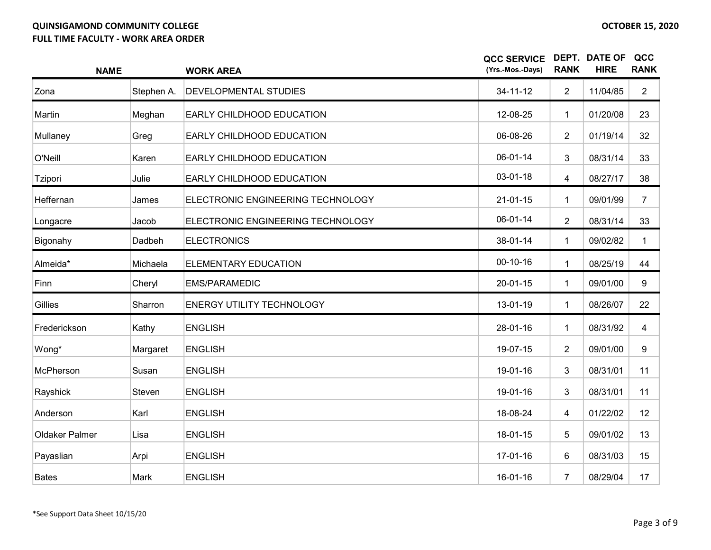| <b>NAME</b>    |            | <b>WORK AREA</b>                  | <b>QCC SERVICE</b><br>(Yrs.-Mos.-Days) | <b>RANK</b>    | <b>DEPT. DATE OF</b><br><b>HIRE</b> | QCC<br><b>RANK</b> |
|----------------|------------|-----------------------------------|----------------------------------------|----------------|-------------------------------------|--------------------|
| Zona           | Stephen A. | DEVELOPMENTAL STUDIES             | $34 - 11 - 12$                         | $\overline{2}$ | 11/04/85                            | $\overline{2}$     |
| Martin         | Meghan     | EARLY CHILDHOOD EDUCATION         | 12-08-25                               | $\mathbf 1$    | 01/20/08                            | 23                 |
| Mullaney       | Greg       | EARLY CHILDHOOD EDUCATION         | 06-08-26                               | $\overline{2}$ | 01/19/14                            | 32                 |
| O'Neill        | Karen      | EARLY CHILDHOOD EDUCATION         | 06-01-14                               | 3              | 08/31/14                            | 33                 |
| Tzipori        | Julie      | EARLY CHILDHOOD EDUCATION         | 03-01-18                               | 4              | 08/27/17                            | 38                 |
| Heffernan      | James      | ELECTRONIC ENGINEERING TECHNOLOGY | $21 - 01 - 15$                         | $\mathbf 1$    | 09/01/99                            | $\overline{7}$     |
| Longacre       | Jacob      | ELECTRONIC ENGINEERING TECHNOLOGY | 06-01-14                               | $\overline{2}$ | 08/31/14                            | 33                 |
| Bigonahy       | Dadbeh     | <b>ELECTRONICS</b>                | 38-01-14                               | $\mathbf{1}$   | 09/02/82                            | $\mathbf{1}$       |
| Almeida*       | Michaela   | ELEMENTARY EDUCATION              | $00 - 10 - 16$                         | $\mathbf{1}$   | 08/25/19                            | 44                 |
| Finn           | Cheryl     | <b>EMS/PARAMEDIC</b>              | 20-01-15                               | $\mathbf{1}$   | 09/01/00                            | 9                  |
| <b>Gillies</b> | Sharron    | <b>ENERGY UTILITY TECHNOLOGY</b>  | 13-01-19                               | $\mathbf 1$    | 08/26/07                            | 22                 |
| Frederickson   | Kathy      | <b>ENGLISH</b>                    | 28-01-16                               | $\mathbf{1}$   | 08/31/92                            | 4                  |
| Wong*          | Margaret   | <b>ENGLISH</b>                    | 19-07-15                               | $\overline{2}$ | 09/01/00                            | 9                  |
| McPherson      | Susan      | <b>ENGLISH</b>                    | 19-01-16                               | 3              | 08/31/01                            | 11                 |
| Rayshick       | Steven     | <b>ENGLISH</b>                    | 19-01-16                               | 3              | 08/31/01                            | 11                 |
| Anderson       | Karl       | <b>ENGLISH</b>                    | 18-08-24                               | 4              | 01/22/02                            | 12                 |
| Oldaker Palmer | Lisa       | <b>ENGLISH</b>                    | 18-01-15                               | 5              | 09/01/02                            | 13                 |
| Payaslian      | Arpi       | <b>ENGLISH</b>                    | 17-01-16                               | 6              | 08/31/03                            | 15                 |
| <b>Bates</b>   | Mark       | <b>ENGLISH</b>                    | 16-01-16                               | $\overline{7}$ | 08/29/04                            | 17                 |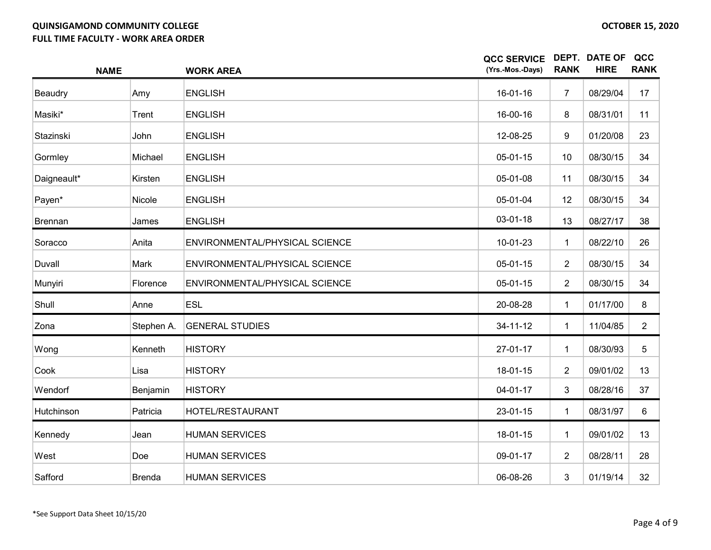| <b>NAME</b> |               | <b>WORK AREA</b>               | <b>QCC SERVICE</b><br>(Yrs.-Mos.-Days) | <b>RANK</b>    | DEPT. DATE OF<br><b>HIRE</b> | QCC<br><b>RANK</b> |
|-------------|---------------|--------------------------------|----------------------------------------|----------------|------------------------------|--------------------|
| Beaudry     | Amy           | <b>ENGLISH</b>                 | 16-01-16                               | $\overline{7}$ | 08/29/04                     | 17                 |
| Masiki*     | Trent         | <b>ENGLISH</b>                 | 16-00-16                               | 8              | 08/31/01                     | 11                 |
| Stazinski   | John          | <b>ENGLISH</b>                 | 12-08-25                               | 9              | 01/20/08                     | 23                 |
| Gormley     | Michael       | <b>ENGLISH</b>                 | 05-01-15                               | 10             | 08/30/15                     | 34                 |
| Daigneault* | Kirsten       | <b>ENGLISH</b>                 | 05-01-08                               | 11             | 08/30/15                     | 34                 |
| Payen*      | Nicole        | <b>ENGLISH</b>                 | 05-01-04                               | 12             | 08/30/15                     | 34                 |
| Brennan     | James         | <b>ENGLISH</b>                 | 03-01-18                               | 13             | 08/27/17                     | 38                 |
| Soracco     | Anita         | ENVIRONMENTAL/PHYSICAL SCIENCE | 10-01-23                               | $\mathbf{1}$   | 08/22/10                     | 26                 |
| Duvall      | Mark          | ENVIRONMENTAL/PHYSICAL SCIENCE | 05-01-15                               | $\overline{2}$ | 08/30/15                     | 34                 |
| Munyiri     | Florence      | ENVIRONMENTAL/PHYSICAL SCIENCE | 05-01-15                               | $\overline{2}$ | 08/30/15                     | 34                 |
| Shull       | Anne          | <b>ESL</b>                     | 20-08-28                               | 1              | 01/17/00                     | 8                  |
| Zona        | Stephen A.    | <b>GENERAL STUDIES</b>         | 34-11-12                               | 1              | 11/04/85                     | $\overline{2}$     |
| Wong        | Kenneth       | <b>HISTORY</b>                 | 27-01-17                               | 1              | 08/30/93                     | 5                  |
| Cook        | Lisa          | <b>HISTORY</b>                 | 18-01-15                               | $\overline{2}$ | 09/01/02                     | 13                 |
| Wendorf     | Benjamin      | <b>HISTORY</b>                 | 04-01-17                               | 3              | 08/28/16                     | 37                 |
| Hutchinson  | Patricia      | HOTEL/RESTAURANT               | 23-01-15                               | 1              | 08/31/97                     | 6                  |
| Kennedy     | Jean          | <b>HUMAN SERVICES</b>          | 18-01-15                               | 1              | 09/01/02                     | 13                 |
| West        | Doe           | <b>HUMAN SERVICES</b>          | 09-01-17                               | $\overline{2}$ | 08/28/11                     | 28                 |
| Safford     | <b>Brenda</b> | <b>HUMAN SERVICES</b>          | 06-08-26                               | 3              | 01/19/14                     | 32                 |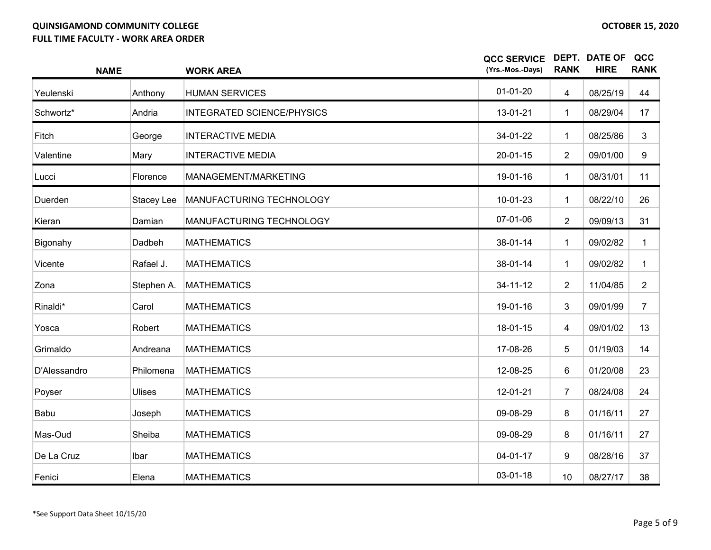| <b>NAME</b>  |               | <b>WORK AREA</b>                  | <b>QCC SERVICE</b><br>(Yrs.-Mos.-Days) | <b>RANK</b>    | <b>DEPT. DATE OF</b><br><b>HIRE</b> | QCC<br><b>RANK</b> |
|--------------|---------------|-----------------------------------|----------------------------------------|----------------|-------------------------------------|--------------------|
| Yeulenski    | Anthony       | <b>HUMAN SERVICES</b>             | $01 - 01 - 20$                         | $\overline{4}$ | 08/25/19                            | 44                 |
| Schwortz*    | Andria        | <b>INTEGRATED SCIENCE/PHYSICS</b> | 13-01-21                               | $\mathbf{1}$   | 08/29/04                            | 17                 |
| Fitch        | George        | <b>INTERACTIVE MEDIA</b>          | 34-01-22                               | $\mathbf{1}$   | 08/25/86                            | 3                  |
| Valentine    | Mary          | <b>INTERACTIVE MEDIA</b>          | $20 - 01 - 15$                         | $\overline{2}$ | 09/01/00                            | 9                  |
| Lucci        | Florence      | MANAGEMENT/MARKETING              | 19-01-16                               | $\mathbf 1$    | 08/31/01                            | 11                 |
| Duerden      | Stacey Lee    | MANUFACTURING TECHNOLOGY          | 10-01-23                               | $\mathbf 1$    | 08/22/10                            | 26                 |
| Kieran       | Damian        | MANUFACTURING TECHNOLOGY          | 07-01-06                               | $\overline{2}$ | 09/09/13                            | 31                 |
| Bigonahy     | Dadbeh        | <b>MATHEMATICS</b>                | 38-01-14                               | $\mathbf 1$    | 09/02/82                            | $\mathbf{1}$       |
| Vicente      | Rafael J.     | <b>MATHEMATICS</b>                | 38-01-14                               | 1              | 09/02/82                            | $\mathbf{1}$       |
| Zona         | Stephen A.    | <b>MATHEMATICS</b>                | $34 - 11 - 12$                         | $\overline{2}$ | 11/04/85                            | $\overline{2}$     |
| Rinaldi*     | Carol         | <b>MATHEMATICS</b>                | 19-01-16                               | 3              | 09/01/99                            | $\overline{7}$     |
| Yosca        | Robert        | <b>MATHEMATICS</b>                | 18-01-15                               | $\overline{4}$ | 09/01/02                            | 13                 |
| Grimaldo     | Andreana      | <b>MATHEMATICS</b>                | 17-08-26                               | 5              | 01/19/03                            | 14                 |
| D'Alessandro | Philomena     | <b>MATHEMATICS</b>                | 12-08-25                               | 6              | 01/20/08                            | 23                 |
| Poyser       | <b>Ulises</b> | <b>MATHEMATICS</b>                | 12-01-21                               | $\overline{7}$ | 08/24/08                            | 24                 |
| Babu         | Joseph        | <b>MATHEMATICS</b>                | 09-08-29                               | 8              | 01/16/11                            | 27                 |
| Mas-Oud      | Sheiba        | <b>MATHEMATICS</b>                | 09-08-29                               | 8              | 01/16/11                            | 27                 |
| De La Cruz   | Ibar          | <b>MATHEMATICS</b>                | $04 - 01 - 17$                         | 9              | 08/28/16                            | 37                 |
| Fenici       | Elena         | <b>MATHEMATICS</b>                | 03-01-18                               | 10             | 08/27/17                            | 38                 |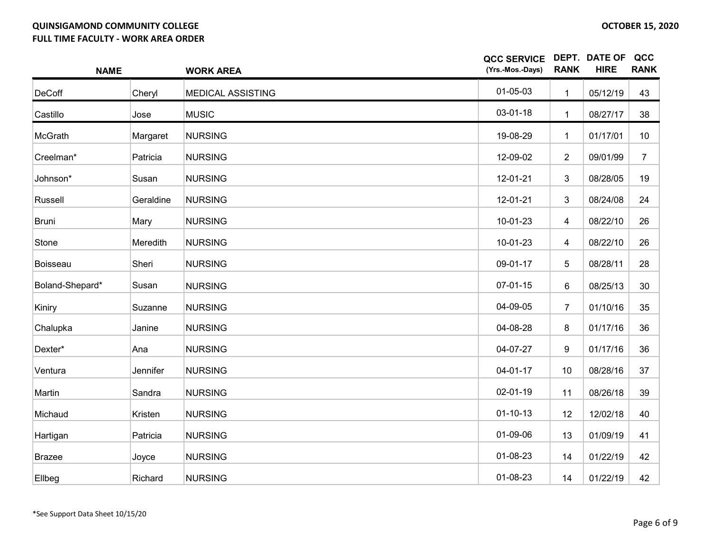| <b>NAME</b>     |                 | <b>WORK AREA</b>         | <b>QCC SERVICE</b><br>(Yrs.-Mos.-Days) | <b>RANK</b>              | DEPT. DATE OF<br><b>HIRE</b> | QCC<br><b>RANK</b> |
|-----------------|-----------------|--------------------------|----------------------------------------|--------------------------|------------------------------|--------------------|
| <b>DeCoff</b>   | Cheryl          | <b>MEDICAL ASSISTING</b> | $01 - 05 - 03$                         | $\mathbf{1}$             | 05/12/19                     | 43                 |
| Castillo        | Jose            | <b>MUSIC</b>             | 03-01-18                               | $\mathbf 1$              | 08/27/17                     | 38                 |
| McGrath         | Margaret        | <b>NURSING</b>           | 19-08-29                               | 1                        | 01/17/01                     | 10                 |
| Creelman*       | Patricia        | <b>NURSING</b>           | 12-09-02                               | $\overline{2}$           | 09/01/99                     | $\overline{7}$     |
| Johnson*        | Susan           | <b>NURSING</b>           | 12-01-21                               | 3                        | 08/28/05                     | 19                 |
| Russell         | Geraldine       | <b>NURSING</b>           | 12-01-21                               | 3                        | 08/24/08                     | 24                 |
| Bruni           | Mary            | <b>NURSING</b>           | 10-01-23                               | 4                        | 08/22/10                     | 26                 |
| Stone           | <b>Meredith</b> | <b>NURSING</b>           | 10-01-23                               | $\overline{\mathcal{A}}$ | 08/22/10                     | 26                 |
| <b>Boisseau</b> | Sheri           | <b>NURSING</b>           | 09-01-17                               | 5                        | 08/28/11                     | 28                 |
| Boland-Shepard* | Susan           | <b>NURSING</b>           | $07-01-15$                             | 6                        | 08/25/13                     | 30                 |
| Kiniry          | Suzanne         | <b>NURSING</b>           | 04-09-05                               | $\overline{7}$           | 01/10/16                     | 35                 |
| Chalupka        | Janine          | <b>NURSING</b>           | 04-08-28                               | 8                        | 01/17/16                     | 36                 |
| Dexter*         | Ana             | <b>NURSING</b>           | 04-07-27                               | 9                        | 01/17/16                     | 36                 |
| Ventura         | Jennifer        | <b>NURSING</b>           | $04 - 01 - 17$                         | 10                       | 08/28/16                     | 37                 |
| Martin          | Sandra          | <b>NURSING</b>           | 02-01-19                               | 11                       | 08/26/18                     | 39                 |
| Michaud         | Kristen         | <b>NURSING</b>           | $01 - 10 - 13$                         | 12                       | 12/02/18                     | 40                 |
| Hartigan        | Patricia        | <b>NURSING</b>           | 01-09-06                               | 13                       | 01/09/19                     | 41                 |
| <b>Brazee</b>   | Joyce           | <b>NURSING</b>           | 01-08-23                               | 14                       | 01/22/19                     | 42                 |
| Ellbeg          | Richard         | <b>NURSING</b>           | 01-08-23                               | 14                       | 01/22/19                     | 42                 |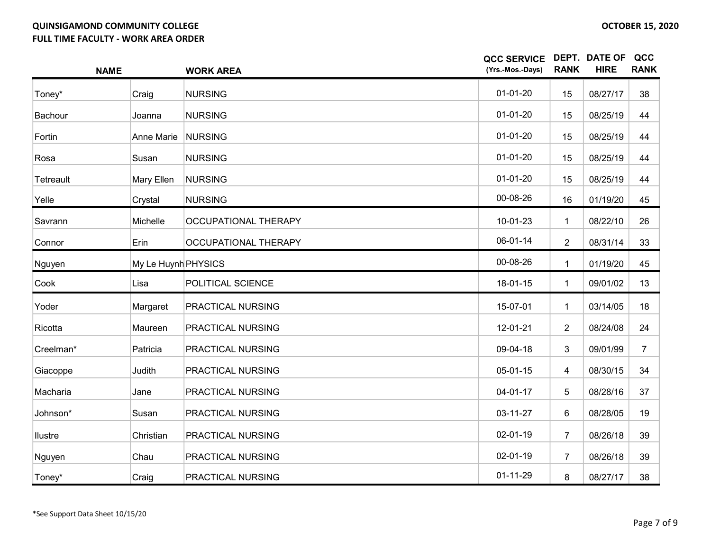| <b>NAME</b>    |                     | <b>WORK AREA</b>            | <b>QCC SERVICE</b><br>(Yrs.-Mos.-Days) | <b>RANK</b>    | <b>DEPT. DATE OF</b><br><b>HIRE</b> | QCC<br><b>RANK</b> |
|----------------|---------------------|-----------------------------|----------------------------------------|----------------|-------------------------------------|--------------------|
| Toney*         | Craig               | <b>NURSING</b>              | $01-01-20$                             | 15             | 08/27/17                            | 38                 |
| Bachour        | Joanna              | <b>NURSING</b>              | $01-01-20$                             | 15             | 08/25/19                            | 44                 |
| Fortin         | Anne Marie          | <b>NURSING</b>              | $01 - 01 - 20$                         | 15             | 08/25/19                            | 44                 |
| Rosa           | Susan               | <b>NURSING</b>              | $01-01-20$                             | 15             | 08/25/19                            | 44                 |
| Tetreault      | Mary Ellen          | <b>NURSING</b>              | $01-01-20$                             | 15             | 08/25/19                            | 44                 |
| Yelle          | Crystal             | <b>NURSING</b>              | 00-08-26                               | 16             | 01/19/20                            | 45                 |
| Savrann        | Michelle            | <b>OCCUPATIONAL THERAPY</b> | 10-01-23                               | $\mathbf{1}$   | 08/22/10                            | 26                 |
| Connor         | Erin                | <b>OCCUPATIONAL THERAPY</b> | 06-01-14                               | $\overline{2}$ | 08/31/14                            | 33                 |
| Nguyen         | My Le Huynh PHYSICS |                             | 00-08-26                               | $\mathbf 1$    | 01/19/20                            | 45                 |
| Cook           | Lisa                | POLITICAL SCIENCE           | 18-01-15                               | $\mathbf 1$    | 09/01/02                            | 13                 |
| Yoder          | Margaret            | PRACTICAL NURSING           | 15-07-01                               | $\mathbf 1$    | 03/14/05                            | 18                 |
| Ricotta        | Maureen             | PRACTICAL NURSING           | 12-01-21                               | $\overline{2}$ | 08/24/08                            | 24                 |
| Creelman*      | Patricia            | PRACTICAL NURSING           | 09-04-18                               | 3              | 09/01/99                            | $\overline{7}$     |
| Giacoppe       | Judith              | PRACTICAL NURSING           | 05-01-15                               | 4              | 08/30/15                            | 34                 |
| Macharia       | Jane                | PRACTICAL NURSING           | $04 - 01 - 17$                         | 5              | 08/28/16                            | 37                 |
| Johnson*       | Susan               | PRACTICAL NURSING           | 03-11-27                               | 6              | 08/28/05                            | 19                 |
| <b>Ilustre</b> | Christian           | PRACTICAL NURSING           | 02-01-19                               | $\overline{7}$ | 08/26/18                            | 39                 |
| Nguyen         | Chau                | PRACTICAL NURSING           | $02 - 01 - 19$                         | 7              | 08/26/18                            | 39                 |
| Toney*         | Craig               | PRACTICAL NURSING           | $01 - 11 - 29$                         | 8              | 08/27/17                            | 38                 |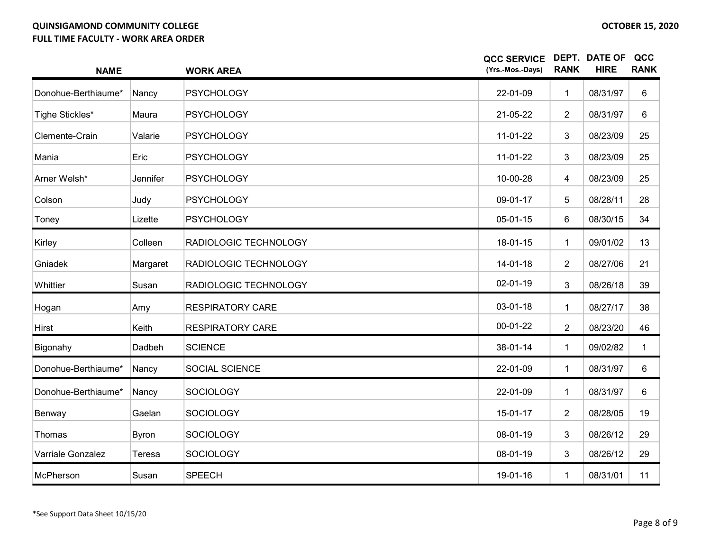| <b>NAME</b>              |              | <b>WORK AREA</b>        | <b>QCC SERVICE</b><br>(Yrs.-Mos.-Days) | <b>RANK</b>    | <b>DEPT. DATE OF</b><br><b>HIRE</b> | QCC<br><b>RANK</b> |
|--------------------------|--------------|-------------------------|----------------------------------------|----------------|-------------------------------------|--------------------|
| Donohue-Berthiaume*      | Nancy        | <b>PSYCHOLOGY</b>       | 22-01-09                               | $\mathbf{1}$   | 08/31/97                            | 6                  |
| Tighe Stickles*          | Maura        | <b>PSYCHOLOGY</b>       | 21-05-22                               | $\overline{2}$ | 08/31/97                            | 6                  |
| Clemente-Crain           | Valarie      | <b>PSYCHOLOGY</b>       | 11-01-22                               | $\mathbf{3}$   | 08/23/09                            | 25                 |
| Mania                    | Eric         | <b>PSYCHOLOGY</b>       | 11-01-22                               | 3              | 08/23/09                            | 25                 |
| Arner Welsh*             | Jennifer     | <b>PSYCHOLOGY</b>       | 10-00-28                               | 4              | 08/23/09                            | 25                 |
| Colson                   | Judy         | <b>PSYCHOLOGY</b>       | 09-01-17                               | 5              | 08/28/11                            | 28                 |
| Toney                    | Lizette      | <b>PSYCHOLOGY</b>       | $05-01-15$                             | $6\phantom{1}$ | 08/30/15                            | 34                 |
| Kirley                   | Colleen      | RADIOLOGIC TECHNOLOGY   | 18-01-15                               | $\mathbf{1}$   | 09/01/02                            | 13                 |
| Gniadek                  | Margaret     | RADIOLOGIC TECHNOLOGY   | 14-01-18                               | $\overline{2}$ | 08/27/06                            | 21                 |
| Whittier                 | Susan        | RADIOLOGIC TECHNOLOGY   | 02-01-19                               | 3              | 08/26/18                            | 39                 |
| Hogan                    | Amy          | <b>RESPIRATORY CARE</b> | $03 - 01 - 18$                         | 1              | 08/27/17                            | 38                 |
| Hirst                    | Keith        | <b>RESPIRATORY CARE</b> | $00-01-22$                             | $\overline{2}$ | 08/23/20                            | 46                 |
| Bigonahy                 | Dadbeh       | <b>SCIENCE</b>          | 38-01-14                               | $\mathbf{1}$   | 09/02/82                            | $\mathbf{1}$       |
| Donohue-Berthiaume*      | Nancy        | <b>SOCIAL SCIENCE</b>   | 22-01-09                               | $\mathbf{1}$   | 08/31/97                            | 6                  |
| Donohue-Berthiaume*      | Nancy        | SOCIOLOGY               | 22-01-09                               | $\mathbf 1$    | 08/31/97                            | 6                  |
| Benway                   | Gaelan       | <b>SOCIOLOGY</b>        | 15-01-17                               | $\overline{2}$ | 08/28/05                            | 19                 |
| Thomas                   | <b>Byron</b> | <b>SOCIOLOGY</b>        | 08-01-19                               | 3              | 08/26/12                            | 29                 |
| <b>Varriale Gonzalez</b> | Teresa       | <b>SOCIOLOGY</b>        | 08-01-19                               | 3              | 08/26/12                            | 29                 |
| McPherson                | Susan        | <b>SPEECH</b>           | 19-01-16                               | 1              | 08/31/01                            | 11                 |